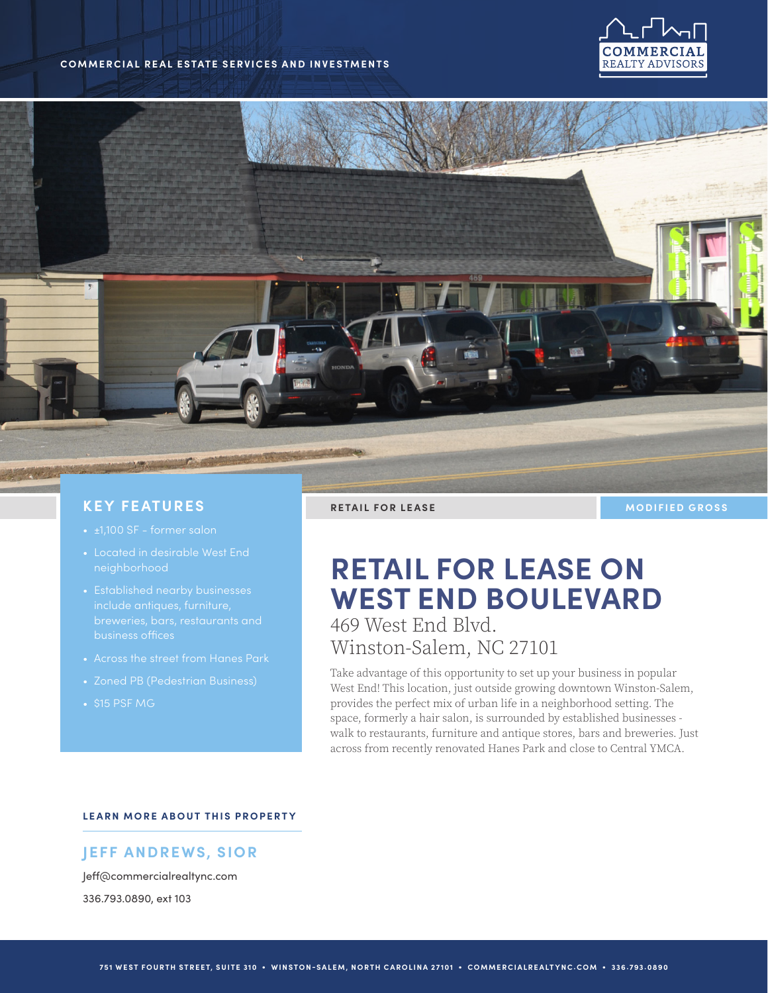#### **COMMERCIAL REAL ESTATE SERVICES AND INVESTMENTS**





### **KEY FEATURES**

- 
- Located in desirable West End neighborhood
- 
- Across the street from Hanes Park
- 
- 

**RETAIL FOR LEASE MODIFIED GROSS** 

# **RETAIL FOR LEASE ON WEST END BOULEVARD** 469 West End Blvd.

Winston-Salem, NC 27101

Take advantage of this opportunity to set up your business in popular West End! This location, just outside growing downtown Winston-Salem, provides the perfect mix of urban life in a neighborhood setting. The space, formerly a hair salon, is surrounded by established businesses walk to restaurants, furniture and antique stores, bars and breweries. Just across from recently renovated Hanes Park and close to Central YMCA.

#### **LEARN MORE ABOUT THIS PROPERTY**

## **JEFF ANDREWS, SIOR**

Jeff@commercialrealtync.com 336.793.0890, ext 103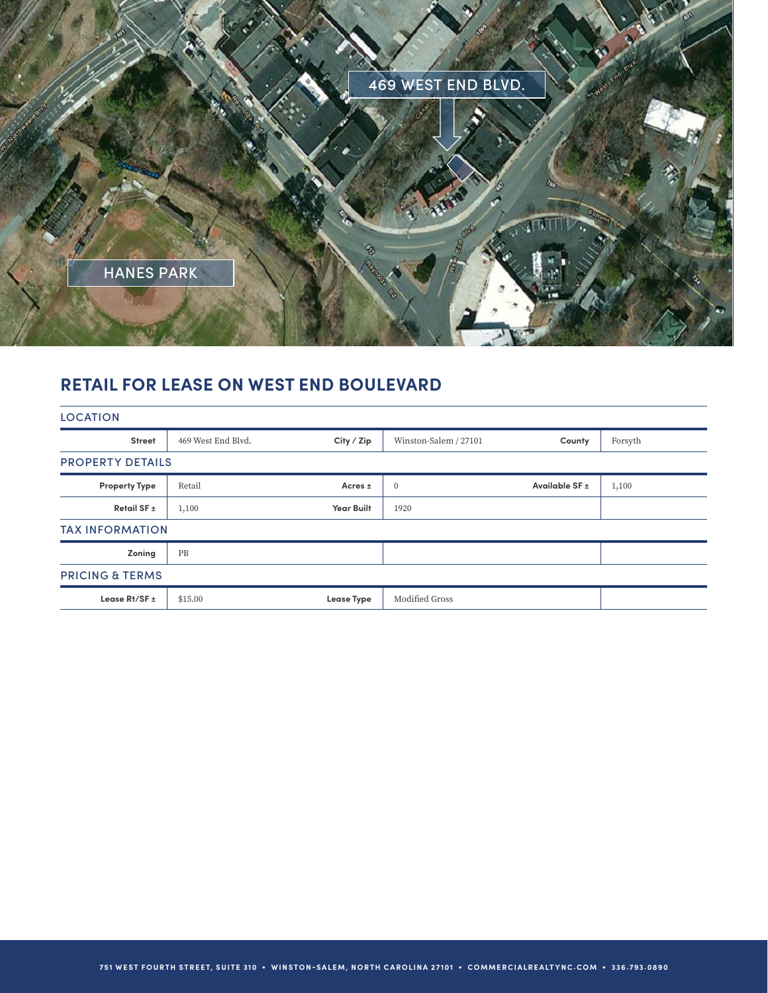

## **RETAIL FOR LEASE ON WEST END BOULEVARD**

| <b>LOCATION</b>            |                    |                   |                       |                |         |
|----------------------------|--------------------|-------------------|-----------------------|----------------|---------|
| <b>Street</b>              | 469 West End Blyd. | City / Zip        | Winston-Salem / 27101 | County         | Forsyth |
| <b>PROPERTY DETAILS</b>    |                    |                   |                       |                |         |
| <b>Property Type</b>       | Retail             | Acres $\pm$       | $\mathbf{0}$          | Available SF ± | 1,100   |
| Retail SF ±                | 1,100              | <b>Year Built</b> | 1920                  |                |         |
| <b>TAX INFORMATION</b>     |                    |                   |                       |                |         |
| Zoning                     | PB                 |                   |                       |                |         |
| <b>PRICING &amp; TERMS</b> |                    |                   |                       |                |         |
| Lease $Rt/SF \pm$          | \$15.00            | <b>Lease Type</b> | Modified Gross        |                |         |